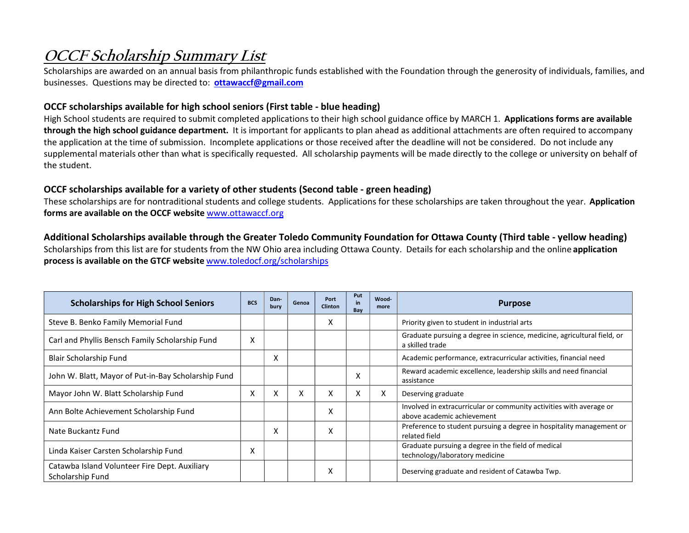## OCCF Scholarship Summary List

Scholarships are awarded on an annual basis from philanthropic funds established with the Foundation through the generosity of individuals, families, and businesses. Questions may be directed to: ottawaccf@gmail.com

## OCCF scholarships available for high school seniors (First table - blue heading)

High School students are required to submit completed applications to their high school guidance office by MARCH 1. Applications forms are available through the high school guidance department. It is important for applicants to plan ahead as additional attachments are often required to accompany the application at the time of submission. Incomplete applications or those received after the deadline will not be considered. Do not include any supplemental materials other than what is specifically requested. All scholarship payments will be made directly to the college or university on behalf of the student.

## OCCF scholarships available for a variety of other students (Second table - green heading)

These scholarships are for nontraditional students and college students. Applications for these scholarships are taken throughout the year. Application forms are available on the OCCF website www.ottawaccf.org

## Additional Scholarships available through the Greater Toledo Community Foundation for Ottawa County (Third table - yellow heading)

Scholarships from this list are for students from the NW Ohio area including Ottawa County. Details for each scholarship and the online application process is available on the GTCF website www.toledocf.org/scholarships

| <b>Scholarships for High School Seniors</b>                       | <b>BCS</b> | Dan-<br>bury | Genoa | Port<br><b>Clinton</b> | Put<br>in<br>Bay | Wood-<br>more | <b>Purpose</b>                                                                                    |
|-------------------------------------------------------------------|------------|--------------|-------|------------------------|------------------|---------------|---------------------------------------------------------------------------------------------------|
| Steve B. Benko Family Memorial Fund                               |            |              |       | X                      |                  |               | Priority given to student in industrial arts                                                      |
| Carl and Phyllis Bensch Family Scholarship Fund                   | X          |              |       |                        |                  |               | Graduate pursuing a degree in science, medicine, agricultural field, or<br>a skilled trade        |
| Blair Scholarship Fund                                            |            | X            |       |                        |                  |               | Academic performance, extracurricular activities, financial need                                  |
| John W. Blatt, Mayor of Put-in-Bay Scholarship Fund               |            |              |       |                        | X                |               | Reward academic excellence, leadership skills and need financial<br>assistance                    |
| Mayor John W. Blatt Scholarship Fund                              | X          | X            | X     | X                      | X                | x             | Deserving graduate                                                                                |
| Ann Bolte Achievement Scholarship Fund                            |            |              |       | X                      |                  |               | Involved in extracurricular or community activities with average or<br>above academic achievement |
| Nate Buckantz Fund                                                |            | X            |       | X                      |                  |               | Preference to student pursuing a degree in hospitality management or<br>related field             |
| Linda Kaiser Carsten Scholarship Fund                             | X          |              |       |                        |                  |               | Graduate pursuing a degree in the field of medical<br>technology/laboratory medicine              |
| Catawba Island Volunteer Fire Dept. Auxiliary<br>Scholarship Fund |            |              |       | Χ                      |                  |               | Deserving graduate and resident of Catawba Twp.                                                   |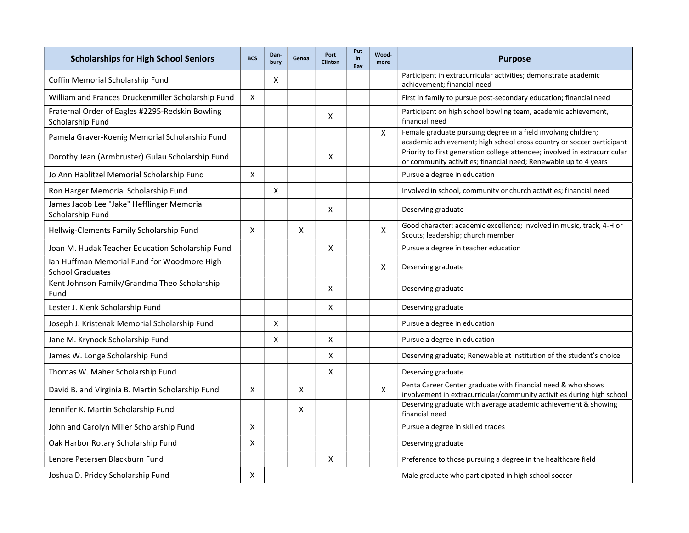| <b>Scholarships for High School Seniors</b>                            | <b>BCS</b> | Dan-<br>bury | Genoa | Port<br><b>Clinton</b> | Put<br>in<br>Bay | Wood-<br>more | <b>Purpose</b>                                                                                                                                 |
|------------------------------------------------------------------------|------------|--------------|-------|------------------------|------------------|---------------|------------------------------------------------------------------------------------------------------------------------------------------------|
| Coffin Memorial Scholarship Fund                                       |            | X            |       |                        |                  |               | Participant in extracurricular activities; demonstrate academic<br>achievement; financial need                                                 |
| William and Frances Druckenmiller Scholarship Fund                     | X          |              |       |                        |                  |               | First in family to pursue post-secondary education; financial need                                                                             |
| Fraternal Order of Eagles #2295-Redskin Bowling<br>Scholarship Fund    |            |              |       | X                      |                  |               | Participant on high school bowling team, academic achievement,<br>financial need                                                               |
| Pamela Graver-Koenig Memorial Scholarship Fund                         |            |              |       |                        |                  | $\mathsf{X}$  | Female graduate pursuing degree in a field involving children;<br>academic achievement; high school cross country or soccer participant        |
| Dorothy Jean (Armbruster) Gulau Scholarship Fund                       |            |              |       | X                      |                  |               | Priority to first generation college attendee; involved in extracurricular<br>or community activities; financial need; Renewable up to 4 years |
| Jo Ann Hablitzel Memorial Scholarship Fund                             | X          |              |       |                        |                  |               | Pursue a degree in education                                                                                                                   |
| Ron Harger Memorial Scholarship Fund                                   |            | X            |       |                        |                  |               | Involved in school, community or church activities; financial need                                                                             |
| James Jacob Lee "Jake" Hefflinger Memorial<br>Scholarship Fund         |            |              |       | X                      |                  |               | Deserving graduate                                                                                                                             |
| Hellwig-Clements Family Scholarship Fund                               | X          |              | X     |                        |                  | X             | Good character; academic excellence; involved in music, track, 4-H or<br>Scouts; leadership; church member                                     |
| Joan M. Hudak Teacher Education Scholarship Fund                       |            |              |       | X                      |                  |               | Pursue a degree in teacher education                                                                                                           |
| Ian Huffman Memorial Fund for Woodmore High<br><b>School Graduates</b> |            |              |       |                        |                  | X             | Deserving graduate                                                                                                                             |
| Kent Johnson Family/Grandma Theo Scholarship<br>Fund                   |            |              |       | X                      |                  |               | Deserving graduate                                                                                                                             |
| Lester J. Klenk Scholarship Fund                                       |            |              |       | X                      |                  |               | Deserving graduate                                                                                                                             |
| Joseph J. Kristenak Memorial Scholarship Fund                          |            | X            |       |                        |                  |               | Pursue a degree in education                                                                                                                   |
| Jane M. Krynock Scholarship Fund                                       |            | X            |       | X                      |                  |               | Pursue a degree in education                                                                                                                   |
| James W. Longe Scholarship Fund                                        |            |              |       | X                      |                  |               | Deserving graduate; Renewable at institution of the student's choice                                                                           |
| Thomas W. Maher Scholarship Fund                                       |            |              |       | X                      |                  |               | Deserving graduate                                                                                                                             |
| David B. and Virginia B. Martin Scholarship Fund                       | X          |              | X     |                        |                  | X             | Penta Career Center graduate with financial need & who shows<br>involvement in extracurricular/community activities during high school         |
| Jennifer K. Martin Scholarship Fund                                    |            |              | Χ     |                        |                  |               | Deserving graduate with average academic achievement & showing<br>financial need                                                               |
| John and Carolyn Miller Scholarship Fund                               | X          |              |       |                        |                  |               | Pursue a degree in skilled trades                                                                                                              |
| Oak Harbor Rotary Scholarship Fund                                     | X          |              |       |                        |                  |               | Deserving graduate                                                                                                                             |
| Lenore Petersen Blackburn Fund                                         |            |              |       | X                      |                  |               | Preference to those pursuing a degree in the healthcare field                                                                                  |
| Joshua D. Priddy Scholarship Fund                                      | X          |              |       |                        |                  |               | Male graduate who participated in high school soccer                                                                                           |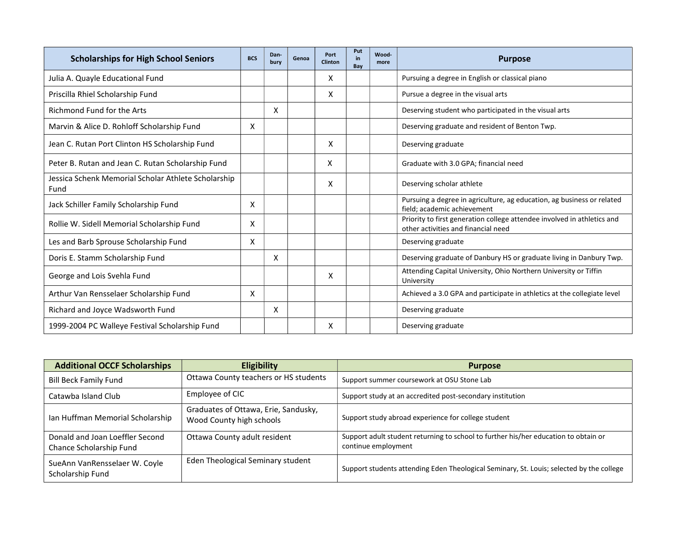| <b>Scholarships for High School Seniors</b>                 | <b>BCS</b> | Dan-<br>bury | Genoa | Port<br><b>Clinton</b> | Put<br>in.<br>Bay | Wood-<br>more | <b>Purpose</b>                                                                                                 |
|-------------------------------------------------------------|------------|--------------|-------|------------------------|-------------------|---------------|----------------------------------------------------------------------------------------------------------------|
| Julia A. Quayle Educational Fund                            |            |              |       | x                      |                   |               | Pursuing a degree in English or classical piano                                                                |
| Priscilla Rhiel Scholarship Fund                            |            |              |       | X                      |                   |               | Pursue a degree in the visual arts                                                                             |
| Richmond Fund for the Arts                                  |            | X            |       |                        |                   |               | Deserving student who participated in the visual arts                                                          |
| Marvin & Alice D. Rohloff Scholarship Fund                  | X          |              |       |                        |                   |               | Deserving graduate and resident of Benton Twp.                                                                 |
| Jean C. Rutan Port Clinton HS Scholarship Fund              |            |              |       | X                      |                   |               | Deserving graduate                                                                                             |
| Peter B. Rutan and Jean C. Rutan Scholarship Fund           |            |              |       | X                      |                   |               | Graduate with 3.0 GPA; financial need                                                                          |
| Jessica Schenk Memorial Scholar Athlete Scholarship<br>Fund |            |              |       | X                      |                   |               | Deserving scholar athlete                                                                                      |
| Jack Schiller Family Scholarship Fund                       | X          |              |       |                        |                   |               | Pursuing a degree in agriculture, ag education, ag business or related<br>field: academic achievement          |
| Rollie W. Sidell Memorial Scholarship Fund                  | X          |              |       |                        |                   |               | Priority to first generation college attendee involved in athletics and<br>other activities and financial need |
| Les and Barb Sprouse Scholarship Fund                       | X          |              |       |                        |                   |               | Deserving graduate                                                                                             |
| Doris E. Stamm Scholarship Fund                             |            | x            |       |                        |                   |               | Deserving graduate of Danbury HS or graduate living in Danbury Twp.                                            |
| George and Lois Svehla Fund                                 |            |              |       | X                      |                   |               | Attending Capital University, Ohio Northern University or Tiffin<br>University                                 |
| Arthur Van Rensselaer Scholarship Fund                      | X          |              |       |                        |                   |               | Achieved a 3.0 GPA and participate in athletics at the collegiate level                                        |
| Richard and Joyce Wadsworth Fund                            |            | x            |       |                        |                   |               | Deserving graduate                                                                                             |
| 1999-2004 PC Walleye Festival Scholarship Fund              |            |              |       | X                      |                   |               | Deserving graduate                                                                                             |

| <b>Additional OCCF Scholarships</b>                        | <b>Eligibility</b>                                               | <b>Purpose</b>                                                                                             |
|------------------------------------------------------------|------------------------------------------------------------------|------------------------------------------------------------------------------------------------------------|
| <b>Bill Beck Family Fund</b>                               | Ottawa County teachers or HS students                            | Support summer coursework at OSU Stone Lab                                                                 |
| Catawba Island Club                                        | Employee of CIC                                                  | Support study at an accredited post-secondary institution                                                  |
| Ian Huffman Memorial Scholarship                           | Graduates of Ottawa, Erie, Sandusky,<br>Wood County high schools | Support study abroad experience for college student                                                        |
| Donald and Joan Loeffler Second<br>Chance Scholarship Fund | Ottawa County adult resident                                     | Support adult student returning to school to further his/her education to obtain or<br>continue employment |
| SueAnn VanRensselaer W. Coyle<br>Scholarship Fund          | Eden Theological Seminary student                                | Support students attending Eden Theological Seminary, St. Louis; selected by the college                   |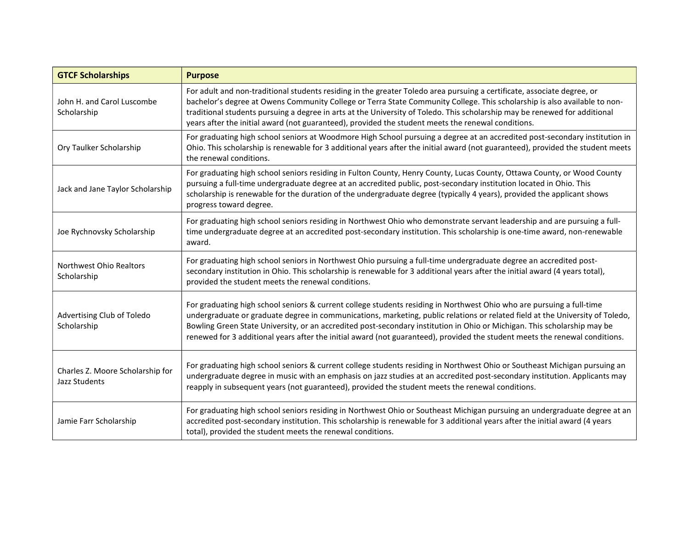| <b>GTCF Scholarships</b>                          | <b>Purpose</b>                                                                                                                                                                                                                                                                                                                                                                                                                                                                                                    |
|---------------------------------------------------|-------------------------------------------------------------------------------------------------------------------------------------------------------------------------------------------------------------------------------------------------------------------------------------------------------------------------------------------------------------------------------------------------------------------------------------------------------------------------------------------------------------------|
| John H. and Carol Luscombe<br>Scholarship         | For adult and non-traditional students residing in the greater Toledo area pursuing a certificate, associate degree, or<br>bachelor's degree at Owens Community College or Terra State Community College. This scholarship is also available to non-<br>traditional students pursuing a degree in arts at the University of Toledo. This scholarship may be renewed for additional<br>years after the initial award (not guaranteed), provided the student meets the renewal conditions.                          |
| Ory Taulker Scholarship                           | For graduating high school seniors at Woodmore High School pursuing a degree at an accredited post-secondary institution in<br>Ohio. This scholarship is renewable for 3 additional years after the initial award (not guaranteed), provided the student meets<br>the renewal conditions.                                                                                                                                                                                                                         |
| Jack and Jane Taylor Scholarship                  | For graduating high school seniors residing in Fulton County, Henry County, Lucas County, Ottawa County, or Wood County<br>pursuing a full-time undergraduate degree at an accredited public, post-secondary institution located in Ohio. This<br>scholarship is renewable for the duration of the undergraduate degree (typically 4 years), provided the applicant shows<br>progress toward degree.                                                                                                              |
| Joe Rychnovsky Scholarship                        | For graduating high school seniors residing in Northwest Ohio who demonstrate servant leadership and are pursuing a full-<br>time undergraduate degree at an accredited post-secondary institution. This scholarship is one-time award, non-renewable<br>award.                                                                                                                                                                                                                                                   |
| Northwest Ohio Realtors<br>Scholarship            | For graduating high school seniors in Northwest Ohio pursuing a full-time undergraduate degree an accredited post-<br>secondary institution in Ohio. This scholarship is renewable for 3 additional years after the initial award (4 years total),<br>provided the student meets the renewal conditions.                                                                                                                                                                                                          |
| Advertising Club of Toledo<br>Scholarship         | For graduating high school seniors & current college students residing in Northwest Ohio who are pursuing a full-time<br>undergraduate or graduate degree in communications, marketing, public relations or related field at the University of Toledo,<br>Bowling Green State University, or an accredited post-secondary institution in Ohio or Michigan. This scholarship may be<br>renewed for 3 additional years after the initial award (not guaranteed), provided the student meets the renewal conditions. |
| Charles Z. Moore Scholarship for<br>Jazz Students | For graduating high school seniors & current college students residing in Northwest Ohio or Southeast Michigan pursuing an<br>undergraduate degree in music with an emphasis on jazz studies at an accredited post-secondary institution. Applicants may<br>reapply in subsequent years (not guaranteed), provided the student meets the renewal conditions.                                                                                                                                                      |
| Jamie Farr Scholarship                            | For graduating high school seniors residing in Northwest Ohio or Southeast Michigan pursuing an undergraduate degree at an<br>accredited post-secondary institution. This scholarship is renewable for 3 additional years after the initial award (4 years<br>total), provided the student meets the renewal conditions.                                                                                                                                                                                          |